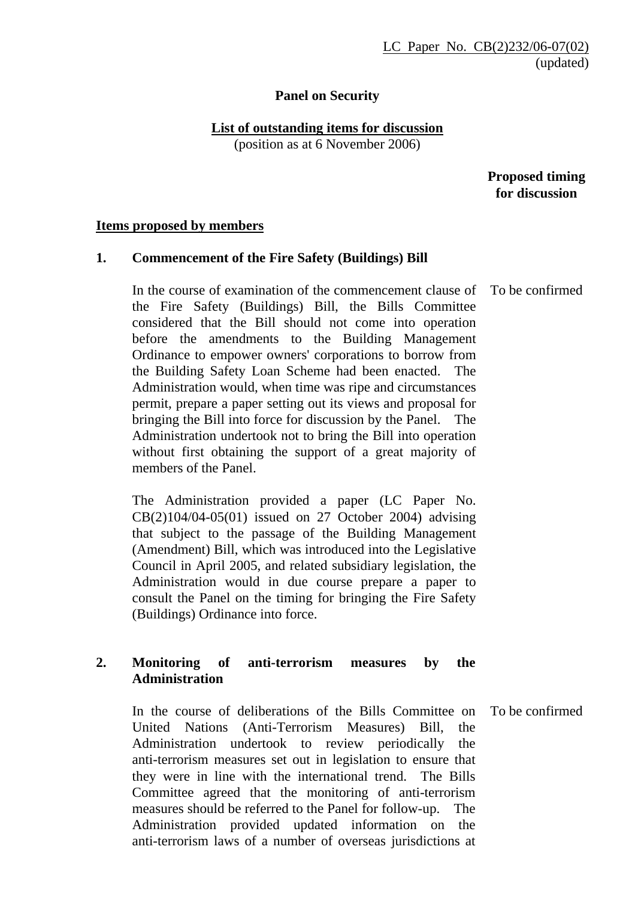## **Panel on Security**

# **List of outstanding items for discussion**

(position as at 6 November 2006)

 **Proposed timing for discussion** 

#### **Items proposed by members**

### **1. Commencement of the Fire Safety (Buildings) Bill**

In the course of examination of the commencement clause of the Fire Safety (Buildings) Bill, the Bills Committee considered that the Bill should not come into operation before the amendments to the Building Management Ordinance to empower owners' corporations to borrow from the Building Safety Loan Scheme had been enacted. Administration would, when time was ripe and circumstances permit, prepare a paper setting out its views and proposal for bringing the Bill into force for discussion by the Panel. The Administration undertook not to bring the Bill into operation without first obtaining the support of a great majority of members of the Panel.

The Administration provided a paper (LC Paper No. CB(2)104/04-05(01) issued on 27 October 2004) advising that subject to the passage of the Building Management (Amendment) Bill, which was introduced into the Legislative Council in April 2005, and related subsidiary legislation, the Administration would in due course prepare a paper to consult the Panel on the timing for bringing the Fire Safety (Buildings) Ordinance into force.

## **2. Monitoring of anti-terrorism measures by the Administration**

 In the course of deliberations of the Bills Committee on United Nations (Anti-Terrorism Measures) Bill, the Administration undertook to review periodically the anti-terrorism measures set out in legislation to ensure that they were in line with the international trend. The Bills Committee agreed that the monitoring of anti-terrorism measures should be referred to the Panel for follow-up. The Administration provided updated information on the anti-terrorism laws of a number of overseas jurisdictions at

To be confirmed

To be confirmed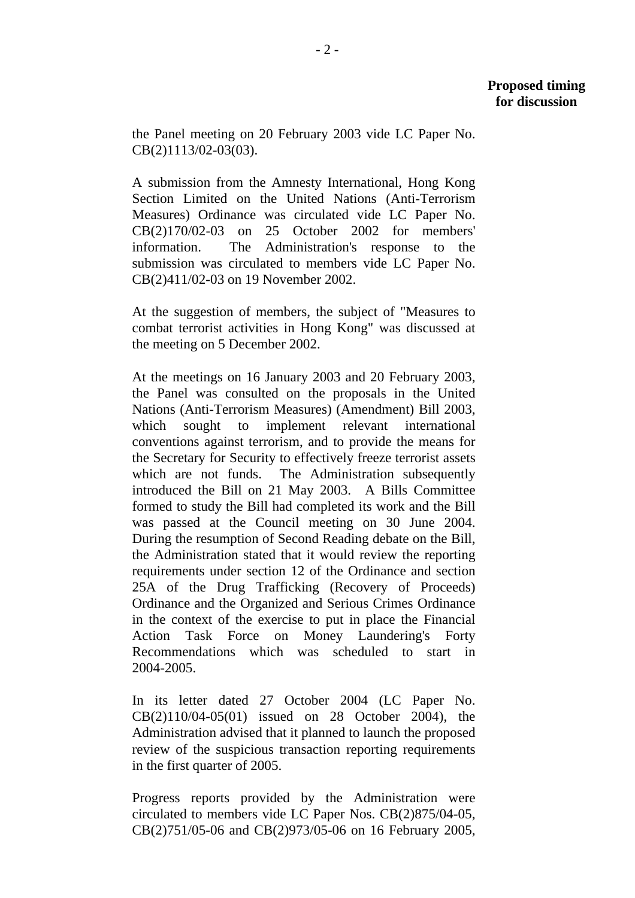the Panel meeting on 20 February 2003 vide LC Paper No. CB(2)1113/02-03(03).

A submission from the Amnesty International, Hong Kong Section Limited on the United Nations (Anti-Terrorism Measures) Ordinance was circulated vide LC Paper No. CB(2)170/02-03 on 25 October 2002 for members' information. The Administration's response to the submission was circulated to members vide LC Paper No. CB(2)411/02-03 on 19 November 2002.

At the suggestion of members, the subject of "Measures to combat terrorist activities in Hong Kong" was discussed at the meeting on 5 December 2002.

At the meetings on 16 January 2003 and 20 February 2003, the Panel was consulted on the proposals in the United Nations (Anti-Terrorism Measures) (Amendment) Bill 2003, which sought to implement relevant international conventions against terrorism, and to provide the means for the Secretary for Security to effectively freeze terrorist assets which are not funds. The Administration subsequently introduced the Bill on 21 May 2003. A Bills Committee formed to study the Bill had completed its work and the Bill was passed at the Council meeting on 30 June 2004. During the resumption of Second Reading debate on the Bill, the Administration stated that it would review the reporting requirements under section 12 of the Ordinance and section 25A of the Drug Trafficking (Recovery of Proceeds) Ordinance and the Organized and Serious Crimes Ordinance in the context of the exercise to put in place the Financial Action Task Force on Money Laundering's Forty Recommendations which was scheduled to start in 2004-2005.

In its letter dated 27 October 2004 (LC Paper No. CB(2)110/04-05(01) issued on 28 October 2004), the Administration advised that it planned to launch the proposed review of the suspicious transaction reporting requirements in the first quarter of 2005.

Progress reports provided by the Administration were circulated to members vide LC Paper Nos. CB(2)875/04-05, CB(2)751/05-06 and CB(2)973/05-06 on 16 February 2005,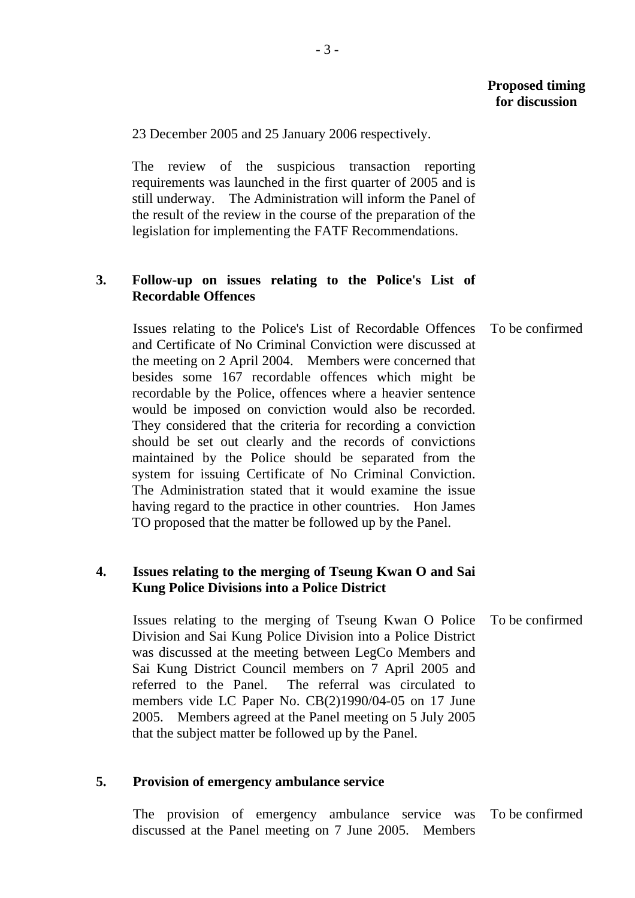23 December 2005 and 25 January 2006 respectively.

The review of the suspicious transaction reporting requirements was launched in the first quarter of 2005 and is still underway. The Administration will inform the Panel of the result of the review in the course of the preparation of the legislation for implementing the FATF Recommendations.

### **3. Follow-up on issues relating to the Police's List of Recordable Offences**

Issues relating to the Police's List of Recordable Offences and Certificate of No Criminal Conviction were discussed at the meeting on 2 April 2004. Members were concerned that besides some 167 recordable offences which might be recordable by the Police, offences where a heavier sentence would be imposed on conviction would also be recorded. They considered that the criteria for recording a conviction should be set out clearly and the records of convictions maintained by the Police should be separated from the system for issuing Certificate of No Criminal Conviction. The Administration stated that it would examine the issue having regard to the practice in other countries. Hon James TO proposed that the matter be followed up by the Panel. To be confirmed

### **4. Issues relating to the merging of Tseung Kwan O and Sai Kung Police Divisions into a Police District**

Issues relating to the merging of Tseung Kwan O Police Division and Sai Kung Police Division into a Police District was discussed at the meeting between LegCo Members and Sai Kung District Council members on 7 April 2005 and referred to the Panel. The referral was circulated to members vide LC Paper No. CB(2)1990/04-05 on 17 June 2005. Members agreed at the Panel meeting on 5 July 2005 that the subject matter be followed up by the Panel. To be confirmed

### **5. Provision of emergency ambulance service**

The provision of emergency ambulance service was discussed at the Panel meeting on 7 June 2005. Members To be confirmed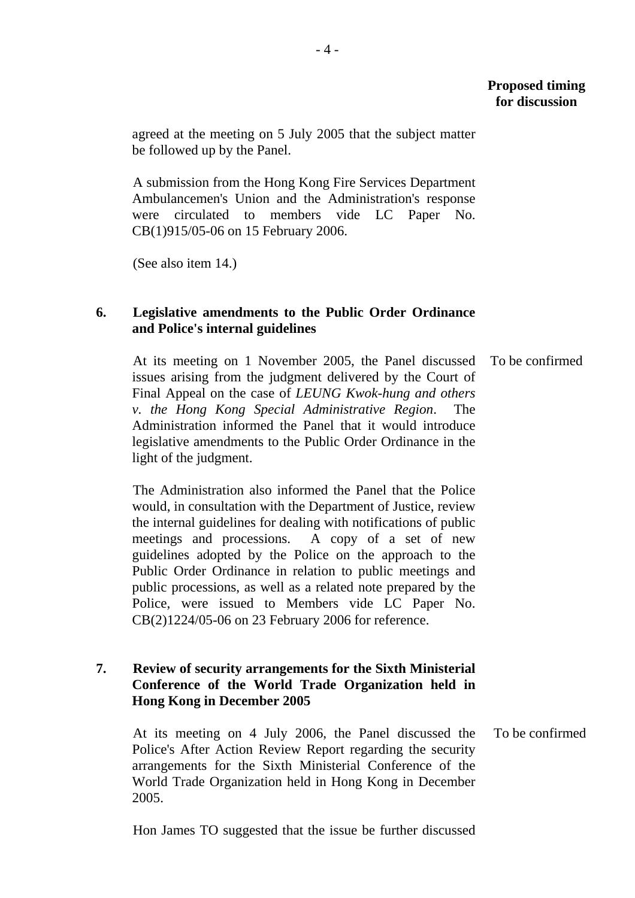## **Proposed timing for discussion**

agreed at the meeting on 5 July 2005 that the subject matter be followed up by the Panel.

A submission from the Hong Kong Fire Services Department Ambulancemen's Union and the Administration's response were circulated to members vide LC Paper No. CB(1)915/05-06 on 15 February 2006.

(See also item 14.)

### **6. Legislative amendments to the Public Order Ordinance and Police's internal guidelines**

At its meeting on 1 November 2005, the Panel discussed issues arising from the judgment delivered by the Court of Final Appeal on the case of *LEUNG Kwok-hung and others v. the Hong Kong Special Administrative Region*. The Administration informed the Panel that it would introduce legislative amendments to the Public Order Ordinance in the light of the judgment. To be confirmed

The Administration also informed the Panel that the Police would, in consultation with the Department of Justice, review the internal guidelines for dealing with notifications of public meetings and processions. A copy of a set of new guidelines adopted by the Police on the approach to the Public Order Ordinance in relation to public meetings and public processions, as well as a related note prepared by the Police, were issued to Members vide LC Paper No. CB(2)1224/05-06 on 23 February 2006 for reference.

## **7. Review of security arrangements for the Sixth Ministerial Conference of the World Trade Organization held in Hong Kong in December 2005**

At its meeting on 4 July 2006, the Panel discussed the Police's After Action Review Report regarding the security arrangements for the Sixth Ministerial Conference of the World Trade Organization held in Hong Kong in December 2005. To be confirmed

Hon James TO suggested that the issue be further discussed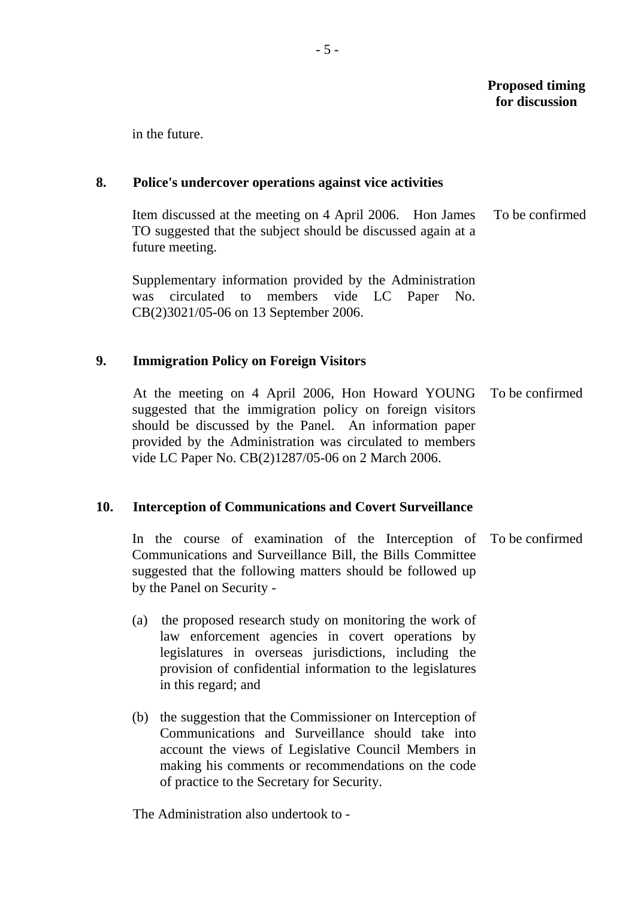## **Proposed timing for discussion**

in the future.

### **8. Police's undercover operations against vice activities**

Item discussed at the meeting on 4 April 2006. Hon James TO suggested that the subject should be discussed again at a future meeting. To be confirmed

Supplementary information provided by the Administration was circulated to members vide LC Paper No. CB(2)3021/05-06 on 13 September 2006.

## **9. Immigration Policy on Foreign Visitors**

At the meeting on 4 April 2006, Hon Howard YOUNG suggested that the immigration policy on foreign visitors should be discussed by the Panel. An information paper provided by the Administration was circulated to members vide LC Paper No. CB(2)1287/05-06 on 2 March 2006. To be confirmed

## **10. Interception of Communications and Covert Surveillance**

In the course of examination of the Interception of Communications and Surveillance Bill, the Bills Committee suggested that the following matters should be followed up by the Panel on Security - To be confirmed

- (a) the proposed research study on monitoring the work of law enforcement agencies in covert operations by legislatures in overseas jurisdictions, including the provision of confidential information to the legislatures in this regard; and
- (b) the suggestion that the Commissioner on Interception of Communications and Surveillance should take into account the views of Legislative Council Members in making his comments or recommendations on the code of practice to the Secretary for Security.

The Administration also undertook to -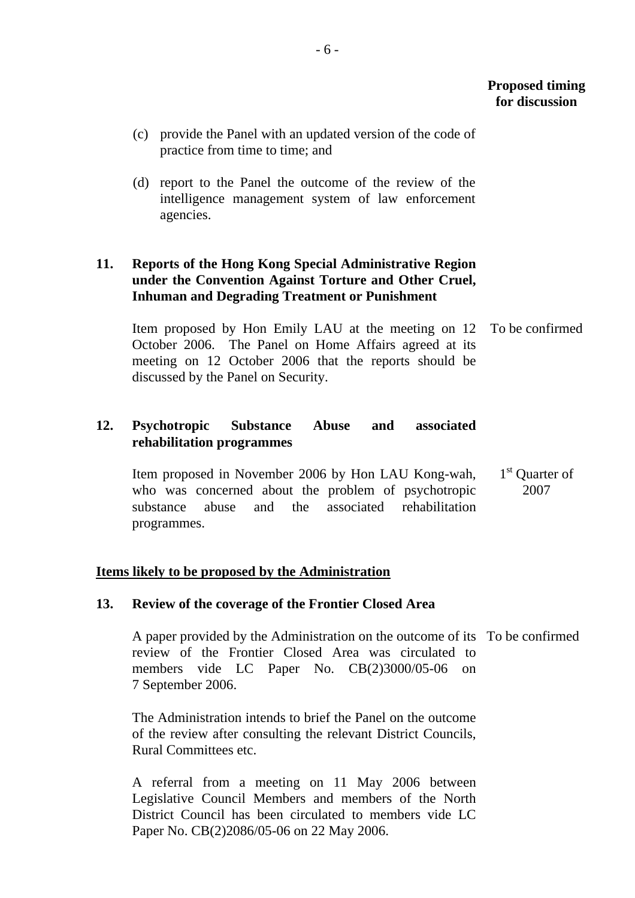- (c) provide the Panel with an updated version of the code of practice from time to time; and
- (d) report to the Panel the outcome of the review of the intelligence management system of law enforcement agencies.

## **11. Reports of the Hong Kong Special Administrative Region under the Convention Against Torture and Other Cruel, Inhuman and Degrading Treatment or Punishment**

Item proposed by Hon Emily LAU at the meeting on 12 October 2006. The Panel on Home Affairs agreed at its meeting on 12 October 2006 that the reports should be discussed by the Panel on Security. To be confirmed

## **12. Psychotropic Substance Abuse and associated rehabilitation programmes**

Item proposed in November 2006 by Hon LAU Kong-wah, who was concerned about the problem of psychotropic substance abuse and the associated rehabilitation programmes. 1<sup>st</sup> Quarter of 2007

### **Items likely to be proposed by the Administration**

### **13. Review of the coverage of the Frontier Closed Area**

A paper provided by the Administration on the outcome of its To be confirmed review of the Frontier Closed Area was circulated to members vide LC Paper No. CB(2)3000/05-06 on 7 September 2006.

The Administration intends to brief the Panel on the outcome of the review after consulting the relevant District Councils, Rural Committees etc.

A referral from a meeting on 11 May 2006 between Legislative Council Members and members of the North District Council has been circulated to members vide LC Paper No. CB(2)2086/05-06 on 22 May 2006.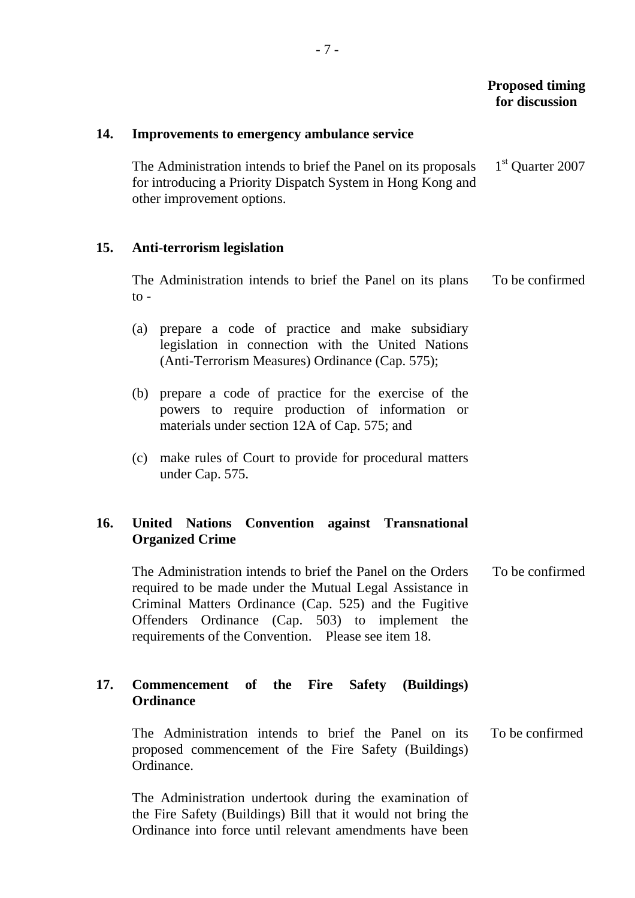| 14.        | Improvements to emergency ambulance service                                                                                                                                                                                                                                                 |                              |
|------------|---------------------------------------------------------------------------------------------------------------------------------------------------------------------------------------------------------------------------------------------------------------------------------------------|------------------------------|
|            | The Administration intends to brief the Panel on its proposals<br>for introducing a Priority Dispatch System in Hong Kong and<br>other improvement options.                                                                                                                                 | 1 <sup>st</sup> Quarter 2007 |
| <b>15.</b> | <b>Anti-terrorism legislation</b>                                                                                                                                                                                                                                                           |                              |
|            | The Administration intends to brief the Panel on its plans<br>$\mathrm{to}$ -                                                                                                                                                                                                               | To be confirmed              |
|            | prepare a code of practice and make subsidiary<br>(a)<br>legislation in connection with the United Nations<br>(Anti-Terrorism Measures) Ordinance (Cap. 575);                                                                                                                               |                              |
|            | (b) prepare a code of practice for the exercise of the<br>powers to require production of information or<br>materials under section 12A of Cap. 575; and                                                                                                                                    |                              |
|            | make rules of Court to provide for procedural matters<br>(c)<br>under Cap. 575.                                                                                                                                                                                                             |                              |
| 16.        | <b>Convention against Transnational</b><br><b>United Nations</b><br><b>Organized Crime</b>                                                                                                                                                                                                  |                              |
|            | The Administration intends to brief the Panel on the Orders<br>required to be made under the Mutual Legal Assistance in<br>Criminal Matters Ordinance (Cap. 525) and the Fugitive<br>Offenders Ordinance (Cap. 503) to implement the<br>requirements of the Convention. Please see item 18. | To be confirmed              |
| 17.        | Commencement of the Fire Safety (Buildings)<br><b>Ordinance</b>                                                                                                                                                                                                                             |                              |
|            | The Administration intends to brief the Panel on its<br>proposed commencement of the Fire Safety (Buildings)<br>Ordinance.                                                                                                                                                                  | To be confirmed              |
|            | The Administration undertook during the examination of<br>the Fire Safety (Buildings) Bill that it would not bring the<br>Ordinance into force until relevant amendments have been                                                                                                          |                              |

- 7 -